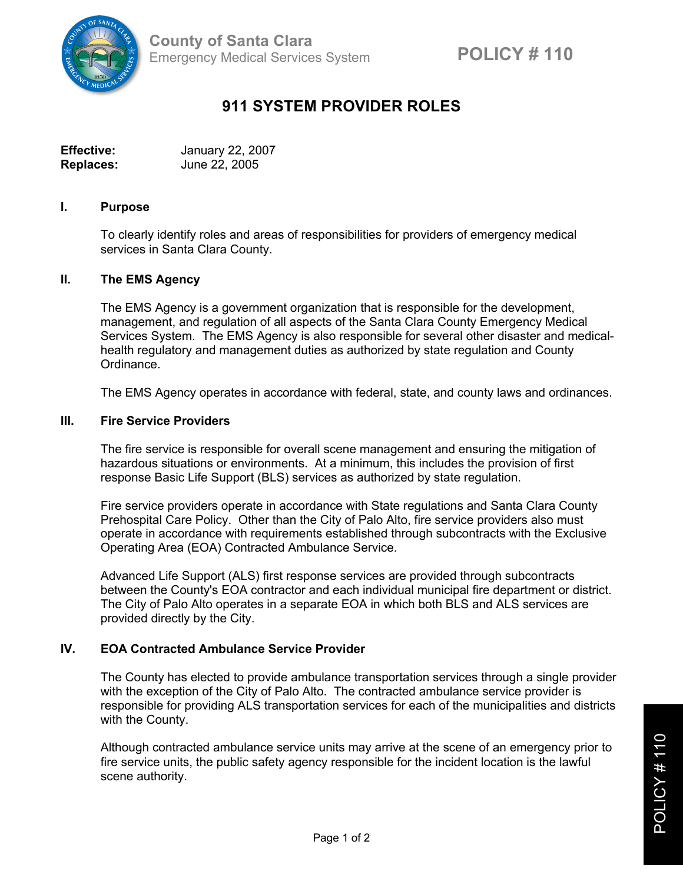

# **911 SYSTEM PROVIDER ROLES**

| <b>Effective:</b> | January 22, 2007 |
|-------------------|------------------|
| <b>Replaces:</b>  | June 22, 2005    |

## **I. Purpose**

To clearly identify roles and areas of responsibilities for providers of emergency medical services in Santa Clara County.

## **II. The EMS Agency**

The EMS Agency is a government organization that is responsible for the development, management, and regulation of all aspects of the Santa Clara County Emergency Medical Services System. The EMS Agency is also responsible for several other disaster and medicalhealth regulatory and management duties as authorized by state regulation and County Ordinance.

The EMS Agency operates in accordance with federal, state, and county laws and ordinances.

#### **III. Fire Service Providers**

The fire service is responsible for overall scene management and ensuring the mitigation of hazardous situations or environments. At a minimum, this includes the provision of first response Basic Life Support (BLS) services as authorized by state regulation.

Fire service providers operate in accordance with State regulations and Santa Clara County Prehospital Care Policy. Other than the City of Palo Alto, fire service providers also must operate in accordance with requirements established through subcontracts with the Exclusive Operating Area (EOA) Contracted Ambulance Service.

Advanced Life Support (ALS) first response services are provided through subcontracts between the County's EOA contractor and each individual municipal fire department or district. The City of Palo Alto operates in a separate EOA in which both BLS and ALS services are provided directly by the City.

# **IV. EOA Contracted Ambulance Service Provider**

The County has elected to provide ambulance transportation services through a single provider with the exception of the City of Palo Alto. The contracted ambulance service provider is responsible for providing ALS transportation services for each of the municipalities and districts with the County.

Although contracted ambulance service units may arrive at the scene of an emergency prior to fire service units, the public safety agency responsible for the incident location is the lawful scene authority.